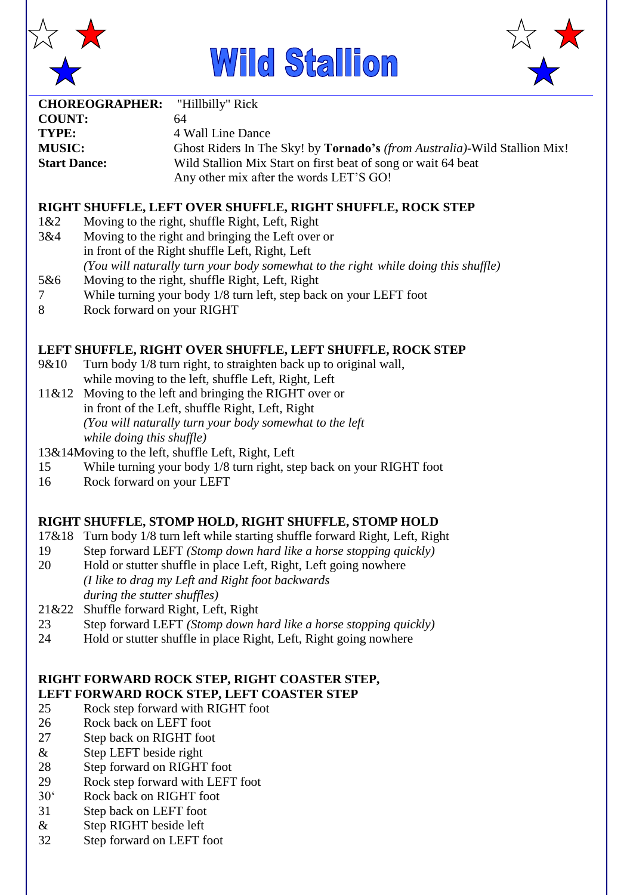





| <b>CHOREOGRAPHER:</b> "Hillbilly" Rick |                                                                                  |
|----------------------------------------|----------------------------------------------------------------------------------|
| <b>COUNT:</b>                          | 64                                                                               |
| TYPE:                                  | 4 Wall Line Dance                                                                |
| <b>MUSIC:</b>                          | Ghost Riders In The Sky! by <b>Tornado's</b> (from Australia)-Wild Stallion Mix! |
| <b>Start Dance:</b>                    | Wild Stallion Mix Start on first beat of song or wait 64 beat                    |
|                                        | Any other mix after the words LET'S GO!                                          |

#### **RIGHT SHUFFLE, LEFT OVER SHUFFLE, RIGHT SHUFFLE, ROCK STEP**

- 1&2 Moving to the right, shuffle Right, Left, Right
- 3&4 Moving to the right and bringing the Left over or
- in front of the Right shuffle Left, Right, Left
	- *(You will naturally turn your body somewhat to the right while doing this shuffle)*
- 5&6 Moving to the right, shuffle Right, Left, Right
- 7 While turning your body 1/8 turn left, step back on your LEFT foot
- 8 Rock forward on your RIGHT

### **LEFT SHUFFLE, RIGHT OVER SHUFFLE, LEFT SHUFFLE, ROCK STEP**

- 9&10 Turn body 1/8 turn right, to straighten back up to original wall, while moving to the left, shuffle Left, Right, Left
- 11&12 Moving to the left and bringing the RIGHT over or in front of the Left, shuffle Right, Left, Right *(You will naturally turn your body somewhat to the left while doing this shuffle)*
- 13&14Moving to the left, shuffle Left, Right, Left
- 15 While turning your body 1/8 turn right, step back on your RIGHT foot
- 16 Rock forward on your LEFT

#### **RIGHT SHUFFLE, STOMP HOLD, RIGHT SHUFFLE, STOMP HOLD**

- 17&18 Turn body 1/8 turn left while starting shuffle forward Right, Left, Right
- 19 Step forward LEFT *(Stomp down hard like a horse stopping quickly)*
- 20 Hold or stutter shuffle in place Left, Right, Left going nowhere *(I like to drag my Left and Right foot backwards during the stutter shuffles)*
- 21&22 Shuffle forward Right, Left, Right
- 23 Step forward LEFT *(Stomp down hard like a horse stopping quickly)*
- 24 Hold or stutter shuffle in place Right, Left, Right going nowhere

# **RIGHT FORWARD ROCK STEP, RIGHT COASTER STEP, LEFT FORWARD ROCK STEP, LEFT COASTER STEP**

- 25 Rock step forward with RIGHT foot
- 26 Rock back on LEFT foot
- 27 Step back on RIGHT foot
- & Step LEFT beside right
- 28 Step forward on RIGHT foot
- 29 Rock step forward with LEFT foot
- 30' Rock back on RIGHT foot
- 31 Step back on LEFT foot
- & Step RIGHT beside left
- 32 Step forward on LEFT foot